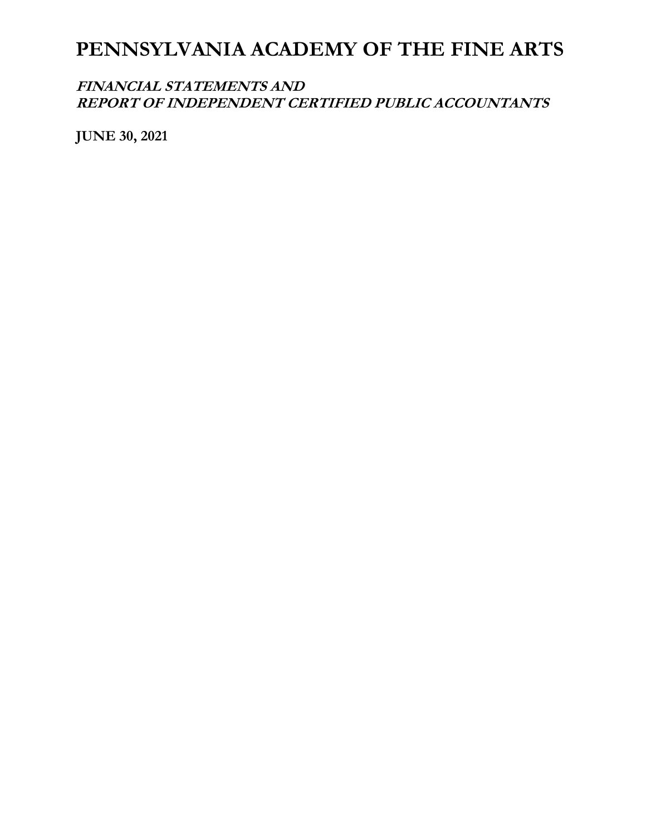# **FINANCIAL STATEMENTS AND REPORT OF INDEPENDENT CERTIFIED PUBLIC ACCOUNTANTS**

**JUNE 30, 2021**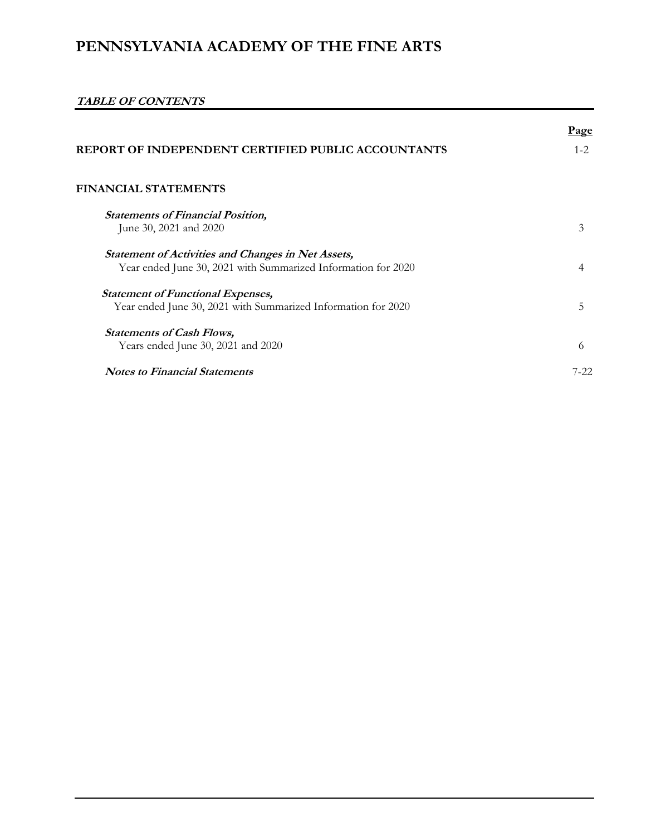# **TABLE OF CONTENTS**

|                                                               | <u>Page</u> |
|---------------------------------------------------------------|-------------|
| REPORT OF INDEPENDENT CERTIFIED PUBLIC ACCOUNTANTS            | $1 - 2$     |
| <b>FINANCIAL STATEMENTS</b>                                   |             |
| <b>Statements of Financial Position,</b>                      |             |
| June 30, 2021 and 2020                                        | 3           |
| <b>Statement of Activities and Changes in Net Assets,</b>     |             |
| Year ended June 30, 2021 with Summarized Information for 2020 |             |
| <b>Statement of Functional Expenses,</b>                      |             |
| Year ended June 30, 2021 with Summarized Information for 2020 | 5           |
| <b>Statements of Cash Flows,</b>                              |             |
| Years ended June 30, 2021 and 2020                            | 6           |
| <b>Notes to Financial Statements</b>                          | 7-22.       |
|                                                               |             |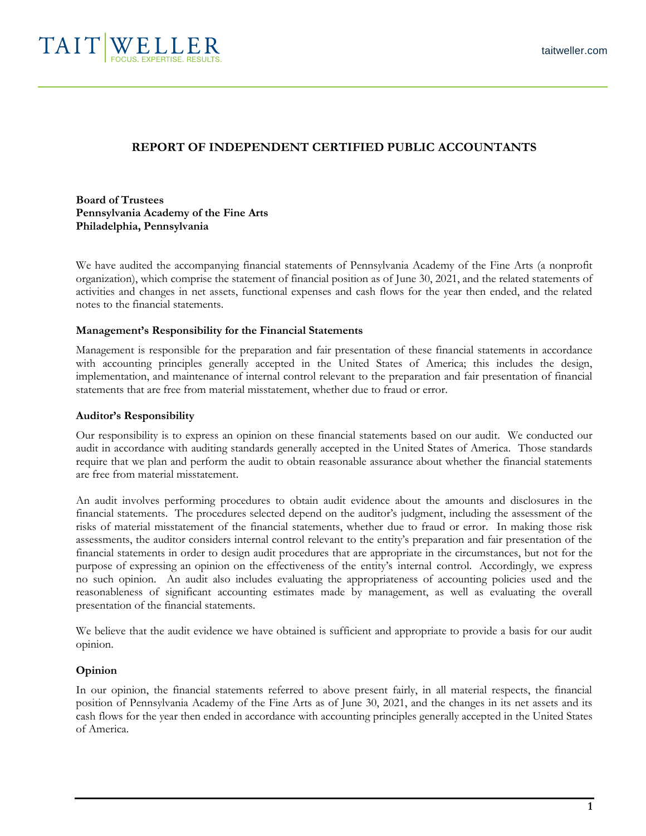

# **REPORT OF INDEPENDENT CERTIFIED PUBLIC ACCOUNTANTS**

**Board of Trustees Pennsylvania Academy of the Fine Arts Philadelphia, Pennsylvania**

We have audited the accompanying financial statements of Pennsylvania Academy of the Fine Arts (a nonprofit organization), which comprise the statement of financial position as of June 30, 2021, and the related statements of activities and changes in net assets, functional expenses and cash flows for the year then ended, and the related notes to the financial statements.

#### **Management's Responsibility for the Financial Statements**

Management is responsible for the preparation and fair presentation of these financial statements in accordance with accounting principles generally accepted in the United States of America; this includes the design, implementation, and maintenance of internal control relevant to the preparation and fair presentation of financial statements that are free from material misstatement, whether due to fraud or error.

#### **Auditor's Responsibility**

Our responsibility is to express an opinion on these financial statements based on our audit. We conducted our audit in accordance with auditing standards generally accepted in the United States of America. Those standards require that we plan and perform the audit to obtain reasonable assurance about whether the financial statements are free from material misstatement.

An audit involves performing procedures to obtain audit evidence about the amounts and disclosures in the financial statements. The procedures selected depend on the auditor's judgment, including the assessment of the risks of material misstatement of the financial statements, whether due to fraud or error. In making those risk assessments, the auditor considers internal control relevant to the entity's preparation and fair presentation of the financial statements in order to design audit procedures that are appropriate in the circumstances, but not for the purpose of expressing an opinion on the effectiveness of the entity's internal control. Accordingly, we express no such opinion. An audit also includes evaluating the appropriateness of accounting policies used and the reasonableness of significant accounting estimates made by management, as well as evaluating the overall presentation of the financial statements.

We believe that the audit evidence we have obtained is sufficient and appropriate to provide a basis for our audit opinion.

#### **Opinion**

In our opinion, the financial statements referred to above present fairly, in all material respects, the financial position of Pennsylvania Academy of the Fine Arts as of June 30, 2021, and the changes in its net assets and its cash flows for the year then ended in accordance with accounting principles generally accepted in the United States of America.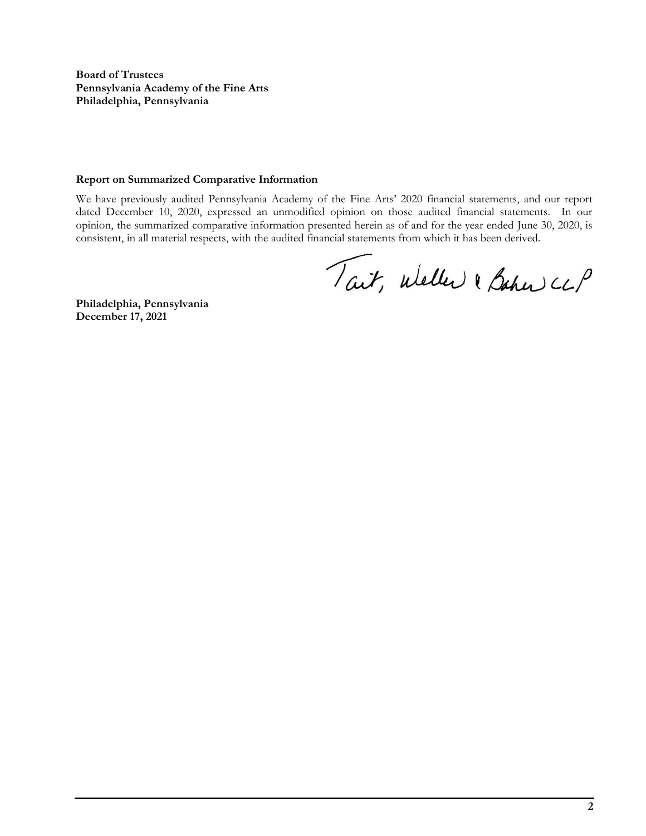**Board of Trustees Pennsylvania Academy of the Fine Arts Philadelphia, Pennsylvania**

#### **Report on Summarized Comparative Information**

We have previously audited Pennsylvania Academy of the Fine Arts' 2020 financial statements, and our report dated December 10, 2020, expressed an unmodified opinion on those audited financial statements. In our opinion, the summarized comparative information presented herein as of and for the year ended June 30, 2020, is consistent, in all material respects, with the audited financial statements from which it has been derived.

Tait, weller & Baher CLP

**Philadelphia, Pennsylvania December 17, 2021**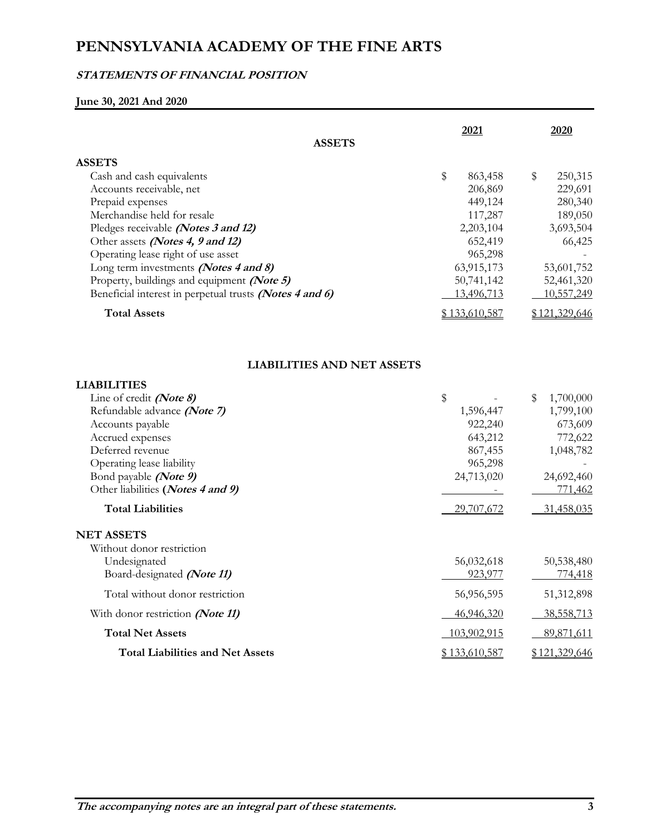# **STATEMENTS OF FINANCIAL POSITION**

# **June 30, 2021 And 2020**

|                                                         | 2021          | 2020          |
|---------------------------------------------------------|---------------|---------------|
| <b>ASSETS</b>                                           |               |               |
| <b>ASSETS</b>                                           |               |               |
| Cash and cash equivalents                               | \$<br>863,458 | \$<br>250,315 |
| Accounts receivable, net                                | 206,869       | 229,691       |
| Prepaid expenses                                        | 449,124       | 280,340       |
| Merchandise held for resale                             | 117,287       | 189,050       |
| Pledges receivable (Notes 3 and 12)                     | 2,203,104     | 3,693,504     |
| Other assets (Notes 4, 9 and 12)                        | 652,419       | 66,425        |
| Operating lease right of use asset                      | 965,298       |               |
| Long term investments (Notes $4$ and $8$ )              | 63,915,173    | 53,601,752    |
| Property, buildings and equipment (Note 5)              | 50,741,142    | 52,461,320    |
| Beneficial interest in perpetual trusts (Notes 4 and 6) | 13,496,713    | 10,557,249    |
| <b>Total Assets</b>                                     | \$133,610,587 | \$121,329,646 |

### **LIABILITIES AND NET ASSETS**

| <b>LIABILITIES</b>                      |                      |                      |
|-----------------------------------------|----------------------|----------------------|
| Line of credit (Note $\delta$ )         | \$                   | \$<br>1,700,000      |
| Refundable advance (Note 7)             | 1,596,447            | 1,799,100            |
| Accounts payable                        | 922,240              | 673,609              |
| Accrued expenses                        | 643,212              | 772,622              |
| Deferred revenue                        | 867,455              | 1,048,782            |
| Operating lease liability               | 965,298              |                      |
| Bond payable (Note 9)                   | 24,713,020           | 24,692,460           |
| Other liabilities (Notes 4 and 9)       |                      | 771,462              |
| <b>Total Liabilities</b>                | 29,707,672           | 31,458,035           |
| <b>NET ASSETS</b>                       |                      |                      |
| Without donor restriction               |                      |                      |
| Undesignated                            | 56,032,618           | 50,538,480           |
| Board-designated (Note 11)              | 923,977              | 774,418              |
| Total without donor restriction         | 56,956,595           | 51,312,898           |
| With donor restriction (Note 11)        | 46,946,320           | 38,558,713           |
| <b>Total Net Assets</b>                 | <u>103,902,915</u>   | 89,871,611           |
| <b>Total Liabilities and Net Assets</b> | <u>\$133,610,587</u> | <u>\$121,329,646</u> |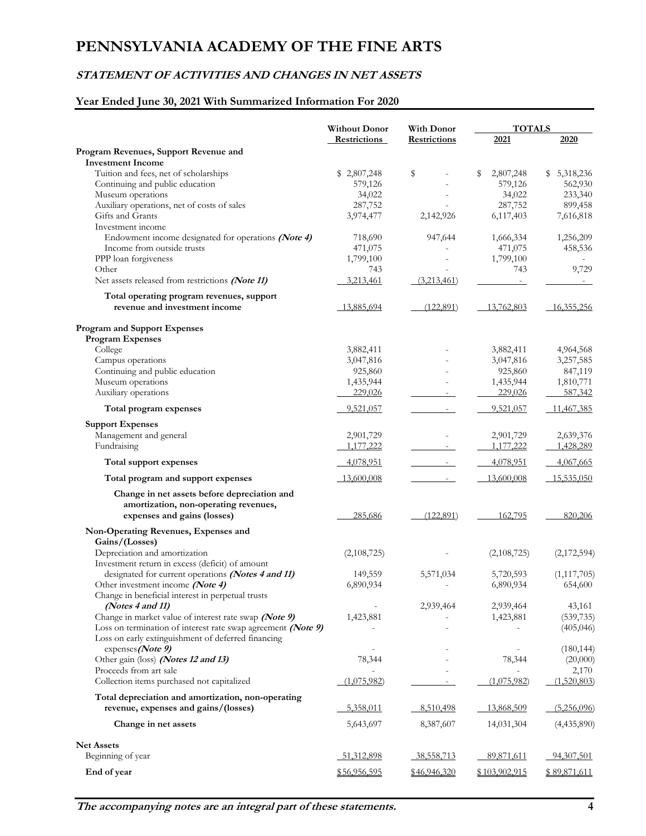# **STATEMENT OF ACTIVITIES AND CHANGES IN NET ASSETS**

# **Year Ended June 30, 2021 With Summarized Information For 2020**

|                                                                                       | <b>Without Donor</b><br><b>With Donor</b> |                     | <b>TOTALS</b>              |                    |
|---------------------------------------------------------------------------------------|-------------------------------------------|---------------------|----------------------------|--------------------|
|                                                                                       | <b>Restrictions</b>                       | <b>Restrictions</b> | 2021                       | 2020               |
| Program Revenues, Support Revenue and                                                 |                                           |                     |                            |                    |
| <b>Investment Income</b>                                                              |                                           |                     |                            |                    |
| Tuition and fees, net of scholarships                                                 | \$2,807,248                               | \$                  | 2,807,248<br>\$<br>579,126 | \$5,318,236        |
| Continuing and public education                                                       | 579,126                                   |                     |                            | 562,930            |
| Museum operations<br>Auxiliary operations, net of costs of sales                      | 34,022<br>287,752                         |                     | 34,022<br>287,752          | 233,340<br>899,458 |
| Gifts and Grants                                                                      | 3,974,477                                 | 2,142,926           | 6,117,403                  | 7,616,818          |
| Investment income                                                                     |                                           |                     |                            |                    |
| Endowment income designated for operations (Note 4)                                   | 718,690                                   | 947,644             | 1,666,334                  | 1,256,209          |
| Income from outside trusts                                                            | 471,075                                   |                     | 471,075                    | 458,536            |
| PPP loan forgiveness                                                                  | 1,799,100                                 |                     | 1,799,100                  |                    |
| Other                                                                                 | 743                                       |                     | 743                        | 9,729              |
| Net assets released from restrictions (Note 11)                                       | 3,213,461                                 | (3,213,461)         |                            |                    |
| Total operating program revenues, support                                             |                                           |                     |                            |                    |
| revenue and investment income                                                         | 13,885,694                                | (122, 891)          | 13,762,803                 | 16, 355, 256       |
| <b>Program and Support Expenses</b>                                                   |                                           |                     |                            |                    |
| <b>Program Expenses</b>                                                               |                                           |                     |                            |                    |
| College                                                                               | 3,882,411                                 |                     | 3,882,411                  | 4,964,568          |
| Campus operations                                                                     | 3,047,816                                 |                     | 3,047,816                  | 3,257,585          |
| Continuing and public education                                                       | 925,860                                   |                     | 925,860                    | 847,119            |
| Museum operations                                                                     | 1,435,944                                 |                     | 1,435,944                  | 1,810,771          |
| Auxiliary operations                                                                  | 229,026                                   |                     | 229,026                    | 587,342            |
| Total program expenses                                                                | 9,521,057                                 | $\sim$              | 9,521,057                  | 11,467,385         |
| <b>Support Expenses</b>                                                               |                                           |                     |                            |                    |
| Management and general                                                                | 2,901,729                                 |                     | 2,901,729                  | 2,639,376          |
| Fundraising                                                                           | 1,177,222                                 |                     | 1,177,222                  | 1,428,289          |
| Total support expenses                                                                | 4,078,951                                 | $\sim$              | 4,078,951                  | 4,067,665          |
| Total program and support expenses                                                    | 13,600,008                                | $\sim$              | 13,600,008                 | 15,535,050         |
|                                                                                       |                                           |                     |                            |                    |
| Change in net assets before depreciation and<br>amortization, non-operating revenues, |                                           |                     |                            |                    |
|                                                                                       | 285,686                                   | (122, 891)          | 162,795                    | 820,206            |
| expenses and gains (losses)                                                           |                                           |                     |                            |                    |
| Non-Operating Revenues, Expenses and                                                  |                                           |                     |                            |                    |
| Gains/(Losses)                                                                        |                                           |                     |                            |                    |
| Depreciation and amortization                                                         | (2,108,725)                               |                     | (2,108,725)                | (2,172,594)        |
| Investment return in excess (deficit) of amount                                       |                                           |                     |                            |                    |
| designated for current operations (Notes 4 and 11)                                    | 149,559                                   | 5,571,034           | 5,720,593                  | (1, 117, 705)      |
| Other investment income (Note 4)                                                      | 6,890,934                                 |                     | 6,890,934                  | 654,600            |
| Change in beneficial interest in perpetual trusts                                     |                                           |                     |                            |                    |
| (Notes 4 and 11)                                                                      |                                           | 2,939,464           | 2,939,464                  | 43,161             |
| Change in market value of interest rate swap (Note 9)                                 | 1,423,881                                 |                     | 1,423,881                  | (539, 735)         |
| Loss on termination of interest rate swap agreement (Note $9$ )                       |                                           |                     |                            | (405, 046)         |
| Loss on early extinguishment of deferred financing                                    |                                           |                     |                            |                    |
| expenses (Note 9)                                                                     |                                           |                     |                            | (180, 144)         |
| Other gain (loss) (Notes 12 and 13)                                                   | 78,344                                    |                     | 78,344                     | (20,000)           |
| Proceeds from art sale                                                                |                                           |                     |                            | 2,170              |
| Collection items purchased not capitalized                                            | (1,075,982)                               |                     | (1,075,982)                | (1,520,803)        |
| Total depreciation and amortization, non-operating                                    |                                           |                     |                            |                    |
| revenue, expenses and gains/(losses)                                                  | 5,358,011                                 | 8,510,498           | 13,868,509                 | (5,256,096)        |
| Change in net assets                                                                  | 5,643,697                                 | 8,387,607           | 14,031,304                 | (4,435,890)        |
| <b>Net Assets</b>                                                                     |                                           |                     |                            |                    |
| Beginning of year                                                                     | 51,312,898                                | 38,558,713          | 89,871,611                 | 94, 307, 501       |
| End of year                                                                           | \$56,956,595                              | \$46,946,320        | \$103,902,915              | \$89,871,611       |
|                                                                                       |                                           |                     |                            |                    |

**The accompanying notes are an integral part of these statements. 4**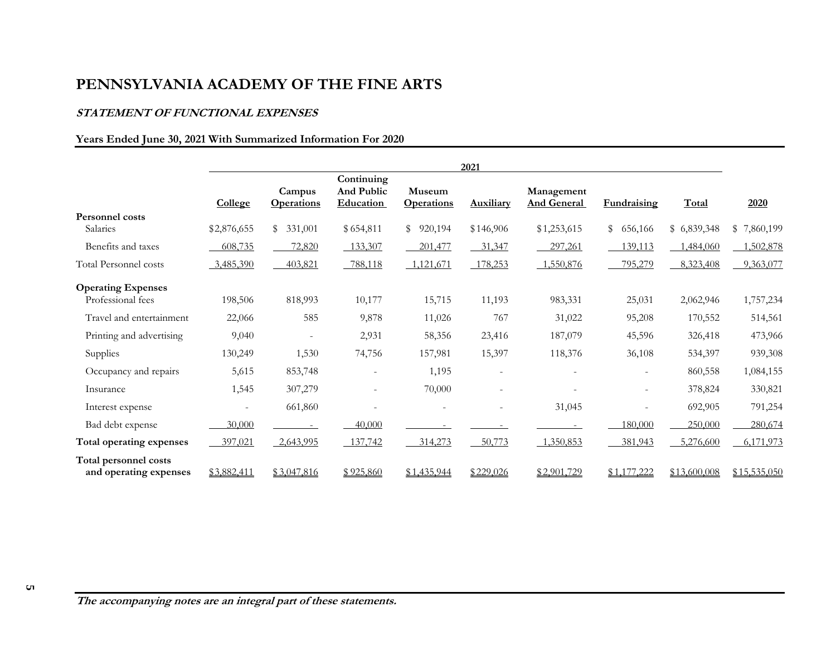### **STATEMENT OF FUNCTIONAL EXPENSES**

### **Years Ended June 30, 2021 With Summarized Information For 2020**

|                                                 |                          |                             |                                                     |                             | 2021             |                                  |                          |              |                 |
|-------------------------------------------------|--------------------------|-----------------------------|-----------------------------------------------------|-----------------------------|------------------|----------------------------------|--------------------------|--------------|-----------------|
|                                                 | College                  | Campus<br><b>Operations</b> | Continuing<br><b>And Public</b><br><b>Education</b> | Museum<br><b>Operations</b> | <b>Auxiliary</b> | Management<br><b>And General</b> | <b>Fundraising</b>       | Total        | 2020            |
| <b>Personnel costs</b><br>Salaries              | \$2,876,655              | 331,001<br>S.               | \$654,811                                           | 920,194<br>\$               | \$146,906        | \$1,253,615                      | \$656,166                | \$6,839,348  | 7,860,199<br>\$ |
| Benefits and taxes                              | 608,735                  | 72,820                      | 133,307                                             | 201,477                     | 31,347           | 297,261                          | 139,113                  | ,484,060     | ,502,878        |
| Total Personnel costs                           | 3,485,390                | 403,821                     | 788,118                                             | 1,121,671                   | 178,253          | 1,550,876                        | 795,279                  | 8,323,408    | 9,363,077       |
| <b>Operating Expenses</b><br>Professional fees  | 198,506                  | 818,993                     | 10,177                                              | 15,715                      | 11,193           | 983,331                          | 25,031                   | 2,062,946    | 1,757,234       |
| Travel and entertainment                        | 22,066                   | 585                         | 9,878                                               | 11,026                      | 767              | 31,022                           | 95,208                   | 170,552      | 514,561         |
| Printing and advertising                        | 9,040                    |                             | 2,931                                               | 58,356                      | 23,416           | 187,079                          | 45,596                   | 326,418      | 473,966         |
| Supplies                                        | 130,249                  | 1,530                       | 74,756                                              | 157,981                     | 15,397           | 118,376                          | 36,108                   | 534,397      | 939,308         |
| Occupancy and repairs                           | 5,615                    | 853,748                     |                                                     | 1,195                       |                  |                                  | $\overline{\phantom{a}}$ | 860,558      | 1,084,155       |
| Insurance                                       | 1,545                    | 307,279                     |                                                     | 70,000                      |                  |                                  | $\overline{\phantom{a}}$ | 378,824      | 330,821         |
| Interest expense                                | $\overline{\phantom{a}}$ | 661,860                     |                                                     |                             |                  | 31,045                           |                          | 692,905      | 791,254         |
| Bad debt expense                                | 30,000                   | $\sim$                      | 40,000                                              |                             |                  |                                  | 180,000                  | 250,000      | 280,674         |
| Total operating expenses                        | 397,021                  | 2,643,995                   | 137,742                                             | 314,273                     | 50,773           | 1,350,853                        | 381,943                  | 5,276,600    | 6,171,973       |
| Total personnel costs<br>and operating expenses | \$3,882,411              | \$3,047,816                 | \$925,860                                           | \$1,435,944                 | \$229,026        | \$2,901,729                      | \$1,177,222              | \$13,600,008 | \$15,535,050    |

**5**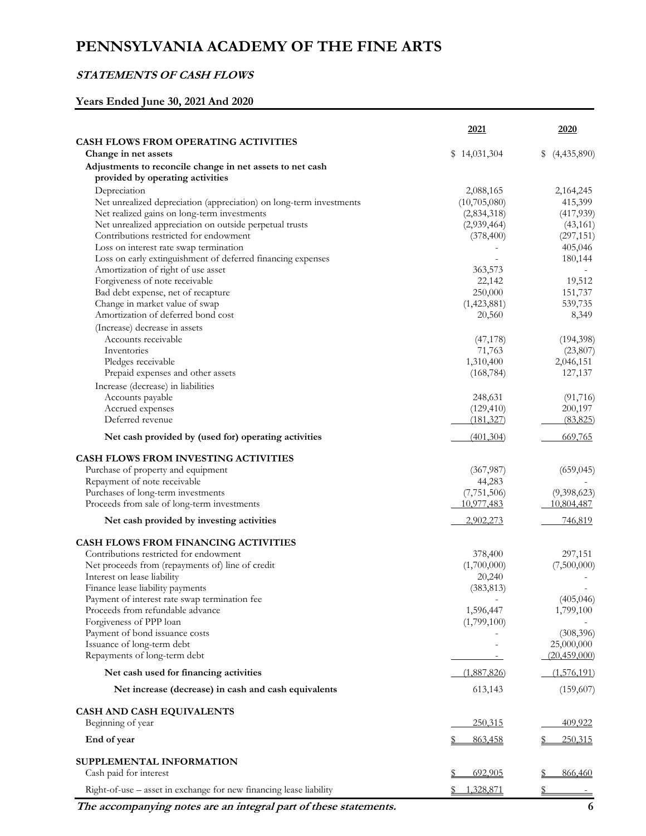# **STATEMENTS OF CASH FLOWS**

# **Years Ended June 30, 2021 And 2020**

|                                                                                               | 2021          | 2020              |
|-----------------------------------------------------------------------------------------------|---------------|-------------------|
| CASH FLOWS FROM OPERATING ACTIVITIES                                                          |               |                   |
| Change in net assets                                                                          | \$14,031,304  | (4,435,890)<br>\$ |
| Adjustments to reconcile change in net assets to net cash<br>provided by operating activities |               |                   |
| Depreciation                                                                                  | 2,088,165     | 2,164,245         |
| Net unrealized depreciation (appreciation) on long-term investments                           | (10,705,080)  | 415,399           |
| Net realized gains on long-term investments                                                   | (2,834,318)   | (417, 939)        |
| Net unrealized appreciation on outside perpetual trusts                                       | (2,939,464)   | (43,161)          |
| Contributions restricted for endowment                                                        | (378, 400)    | (297, 151)        |
| Loss on interest rate swap termination                                                        |               | 405,046           |
| Loss on early extinguishment of deferred financing expenses                                   |               | 180,144           |
| Amortization of right of use asset                                                            | 363,573       |                   |
| Forgiveness of note receivable                                                                | 22,142        | 19,512            |
| Bad debt expense, net of recapture                                                            | 250,000       | 151,737           |
| Change in market value of swap                                                                | (1,423,881)   | 539,735           |
| Amortization of deferred bond cost                                                            | 20,560        | 8,349             |
| (Increase) decrease in assets                                                                 |               |                   |
| Accounts receivable                                                                           | (47, 178)     | (194, 398)        |
| Inventories                                                                                   | 71,763        | (23,807)          |
| Pledges receivable                                                                            | 1,310,400     | 2,046,151         |
| Prepaid expenses and other assets                                                             | (168, 784)    | 127,137           |
| Increase (decrease) in liabilities                                                            |               |                   |
| Accounts payable                                                                              | 248,631       | (91, 716)         |
| Accrued expenses                                                                              | (129, 410)    | 200,197           |
| Deferred revenue                                                                              | (181, 327)    | (83, 825)         |
|                                                                                               |               |                   |
| Net cash provided by (used for) operating activities                                          | (401, 304)    | 669,765           |
| <b>CASH FLOWS FROM INVESTING ACTIVITIES</b>                                                   |               |                   |
| Purchase of property and equipment                                                            | (367, 987)    | (659, 045)        |
| Repayment of note receivable                                                                  | 44,283        |                   |
| Purchases of long-term investments                                                            | (7, 751, 506) | (9,398,623)       |
| Proceeds from sale of long-term investments                                                   | 10,977,483    | 10,804,487        |
| Net cash provided by investing activities                                                     | 2,902,273     | 746,819           |
| <b>CASH FLOWS FROM FINANCING ACTIVITIES</b>                                                   |               |                   |
| Contributions restricted for endowment                                                        | 378,400       | 297,151           |
| Net proceeds from (repayments of) line of credit                                              | (1,700,000)   | (7,500,000)       |
| Interest on lease liability                                                                   | 20,240        |                   |
| Finance lease liability payments                                                              | (383, 813)    |                   |
| Payment of interest rate swap termination fee                                                 |               | (405, 046)        |
| Proceeds from refundable advance                                                              | 1,596,447     | 1,799,100         |
| Forgiveness of PPP loan                                                                       | (1,799,100)   |                   |
| Payment of bond issuance costs                                                                |               | (308, 396)        |
| Issuance of long-term debt                                                                    |               | 25,000,000        |
| Repayments of long-term debt                                                                  |               | (20, 459, 000)    |
| Net cash used for financing activities                                                        | (1,887,826)   | (1, 576, 191)     |
| Net increase (decrease) in cash and cash equivalents                                          | 613,143       | (159,607)         |
| CASH AND CASH EQUIVALENTS                                                                     |               |                   |
| Beginning of year                                                                             | 250,315       | 409,922           |
| End of year                                                                                   | 863,458       | 250,315           |
| SUPPLEMENTAL INFORMATION                                                                      |               |                   |
| Cash paid for interest                                                                        | 692,905       | 866,460           |
|                                                                                               |               |                   |
| Right-of-use – asset in exchange for new financing lease liability                            | 1,328,871     |                   |

**The accompanying notes are an integral part of these statements. 6**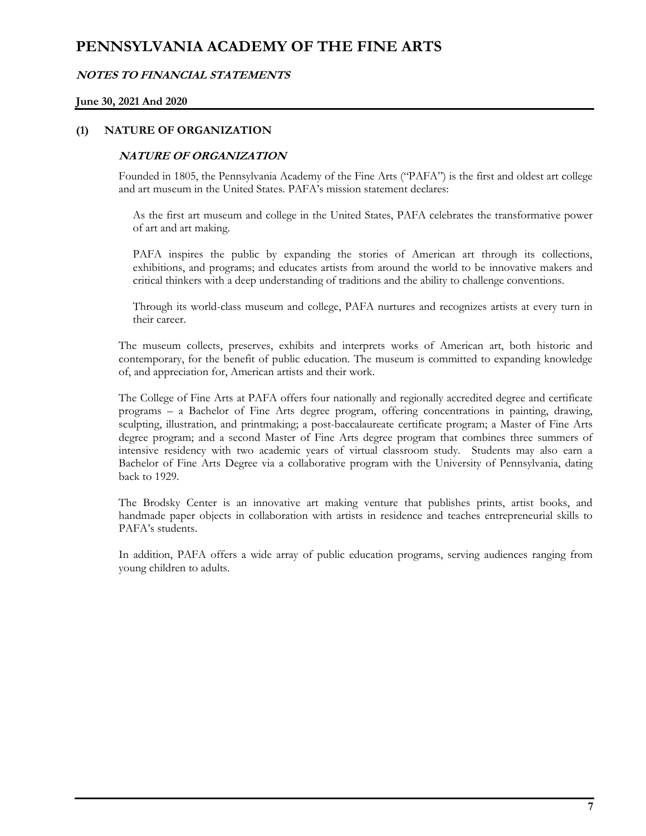### **NOTES TO FINANCIAL STATEMENTS**

**June 30, 2021 And 2020**

#### **(1) NATURE OF ORGANIZATION**

#### **NATURE OF ORGANIZATION**

Founded in 1805, the Pennsylvania Academy of the Fine Arts ("PAFA") is the first and oldest art college and art museum in the United States. PAFA's mission statement declares:

As the first art museum and college in the United States, PAFA celebrates the transformative power of art and art making.

PAFA inspires the public by expanding the stories of American art through its collections, exhibitions, and programs; and educates artists from around the world to be innovative makers and critical thinkers with a deep understanding of traditions and the ability to challenge conventions.

Through its world-class museum and college, PAFA nurtures and recognizes artists at every turn in their career.

The museum collects, preserves, exhibits and interprets works of American art, both historic and contemporary, for the benefit of public education. The museum is committed to expanding knowledge of, and appreciation for, American artists and their work.

The College of Fine Arts at PAFA offers four nationally and regionally accredited degree and certificate programs – a Bachelor of Fine Arts degree program, offering concentrations in painting, drawing, sculpting, illustration, and printmaking; a post-baccalaureate certificate program; a Master of Fine Arts degree program; and a second Master of Fine Arts degree program that combines three summers of intensive residency with two academic years of virtual classroom study. Students may also earn a Bachelor of Fine Arts Degree via a collaborative program with the University of Pennsylvania, dating back to 1929.

The Brodsky Center is an innovative art making venture that publishes prints, artist books, and handmade paper objects in collaboration with artists in residence and teaches entrepreneurial skills to PAFA's students.

In addition, PAFA offers a wide array of public education programs, serving audiences ranging from young children to adults.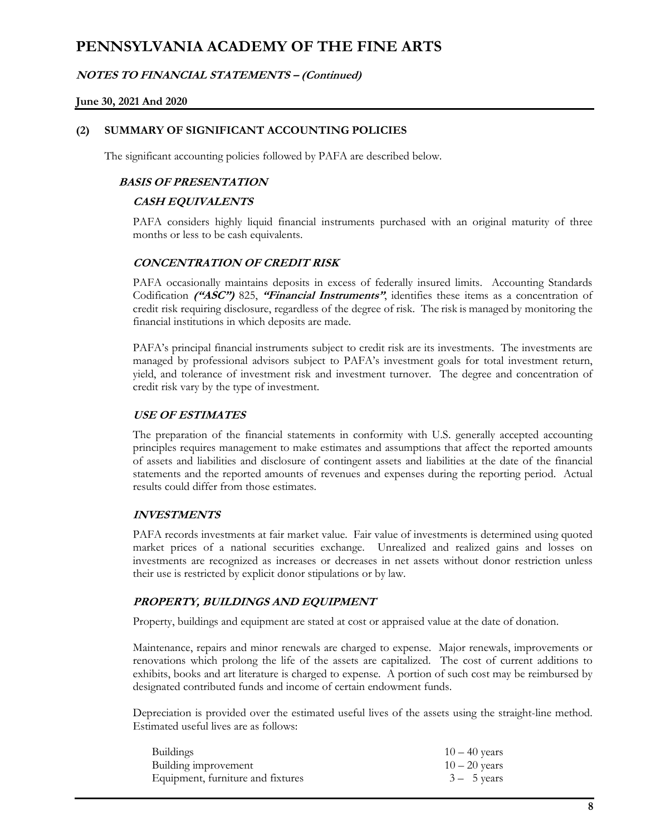### **NOTES TO FINANCIAL STATEMENTS – (Continued)**

#### **June 30, 2021 And 2020**

### **(2) SUMMARY OF SIGNIFICANT ACCOUNTING POLICIES**

The significant accounting policies followed by PAFA are described below.

### **BASIS OF PRESENTATION**

### **CASH EQUIVALENTS**

PAFA considers highly liquid financial instruments purchased with an original maturity of three months or less to be cash equivalents.

### **CONCENTRATION OF CREDIT RISK**

PAFA occasionally maintains deposits in excess of federally insured limits. Accounting Standards Codification **("ASC")** 825, **"Financial Instruments"**, identifies these items as a concentration of credit risk requiring disclosure, regardless of the degree of risk. The risk is managed by monitoring the financial institutions in which deposits are made.

PAFA's principal financial instruments subject to credit risk are its investments. The investments are managed by professional advisors subject to PAFA's investment goals for total investment return, yield, and tolerance of investment risk and investment turnover. The degree and concentration of credit risk vary by the type of investment.

### **USE OF ESTIMATES**

The preparation of the financial statements in conformity with U.S. generally accepted accounting principles requires management to make estimates and assumptions that affect the reported amounts of assets and liabilities and disclosure of contingent assets and liabilities at the date of the financial statements and the reported amounts of revenues and expenses during the reporting period. Actual results could differ from those estimates.

### **INVESTMENTS**

PAFA records investments at fair market value. Fair value of investments is determined using quoted market prices of a national securities exchange. Unrealized and realized gains and losses on investments are recognized as increases or decreases in net assets without donor restriction unless their use is restricted by explicit donor stipulations or by law.

### **PROPERTY, BUILDINGS AND EQUIPMENT**

Property, buildings and equipment are stated at cost or appraised value at the date of donation.

Maintenance, repairs and minor renewals are charged to expense. Major renewals, improvements or renovations which prolong the life of the assets are capitalized. The cost of current additions to exhibits, books and art literature is charged to expense. A portion of such cost may be reimbursed by designated contributed funds and income of certain endowment funds.

Depreciation is provided over the estimated useful lives of the assets using the straight-line method. Estimated useful lives are as follows:

| <b>Buildings</b>                  | $10 - 40$ years |
|-----------------------------------|-----------------|
| Building improvement              | $10-20$ years   |
| Equipment, furniture and fixtures | $3 - 5$ years   |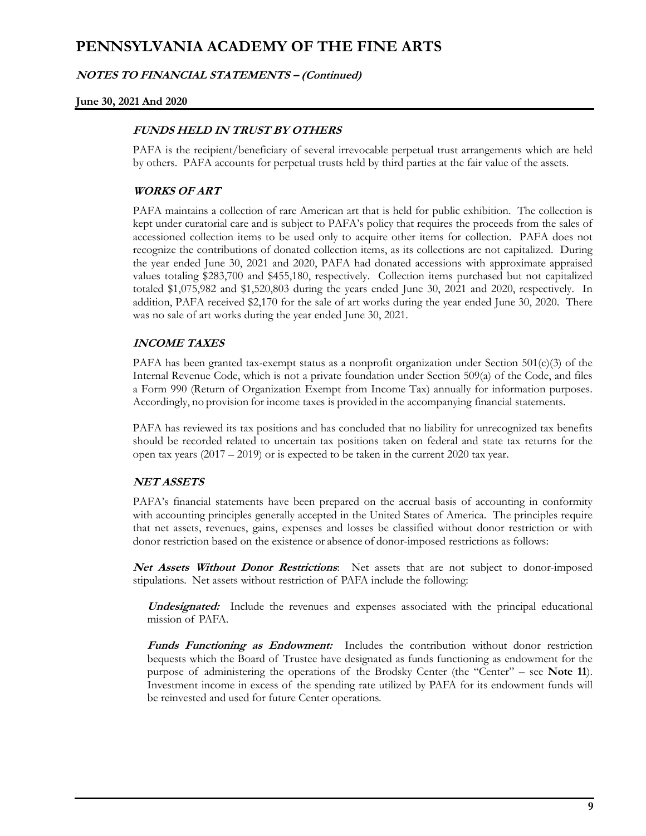### **NOTES TO FINANCIAL STATEMENTS – (Continued)**

#### **June 30, 2021 And 2020**

### **FUNDS HELD IN TRUST BY OTHERS**

PAFA is the recipient/beneficiary of several irrevocable perpetual trust arrangements which are held by others. PAFA accounts for perpetual trusts held by third parties at the fair value of the assets.

### **WORKS OF ART**

PAFA maintains a collection of rare American art that is held for public exhibition. The collection is kept under curatorial care and is subject to PAFA's policy that requires the proceeds from the sales of accessioned collection items to be used only to acquire other items for collection. PAFA does not recognize the contributions of donated collection items, as its collections are not capitalized. During the year ended June 30, 2021 and 2020, PAFA had donated accessions with approximate appraised values totaling \$283,700 and \$455,180, respectively. Collection items purchased but not capitalized totaled \$1,075,982 and \$1,520,803 during the years ended June 30, 2021 and 2020, respectively. In addition, PAFA received \$2,170 for the sale of art works during the year ended June 30, 2020. There was no sale of art works during the year ended June 30, 2021.

### **INCOME TAXES**

PAFA has been granted tax-exempt status as a nonprofit organization under Section  $501(c)(3)$  of the Internal Revenue Code, which is not a private foundation under Section 509(a) of the Code, and files a Form 990 (Return of Organization Exempt from Income Tax) annually for information purposes. Accordingly, no provision for income taxes is provided in the accompanying financial statements.

PAFA has reviewed its tax positions and has concluded that no liability for unrecognized tax benefits should be recorded related to uncertain tax positions taken on federal and state tax returns for the open tax years  $(2017 – 2019)$  or is expected to be taken in the current 2020 tax year.

### **NET ASSETS**

PAFA's financial statements have been prepared on the accrual basis of accounting in conformity with accounting principles generally accepted in the United States of America. The principles require that net assets, revenues, gains, expenses and losses be classified without donor restriction or with donor restriction based on the existence or absence of donor-imposed restrictions as follows:

**Net Assets Without Donor Restrictions**: Net assets that are not subject to donor-imposed stipulations. Net assets without restriction of PAFA include the following:

**Undesignated:** Include the revenues and expenses associated with the principal educational mission of PAFA.

**Funds Functioning as Endowment:** Includes the contribution without donor restriction bequests which the Board of Trustee have designated as funds functioning as endowment for the purpose of administering the operations of the Brodsky Center (the "Center" – see **Note 11**). Investment income in excess of the spending rate utilized by PAFA for its endowment funds will be reinvested and used for future Center operations.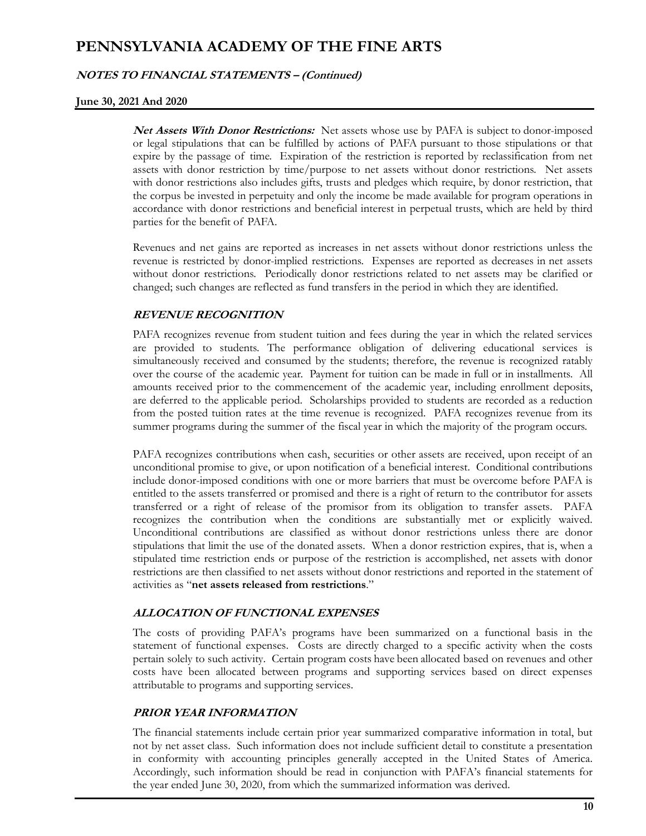### **NOTES TO FINANCIAL STATEMENTS – (Continued)**

#### **June 30, 2021 And 2020**

**Net Assets With Donor Restrictions:** Net assets whose use by PAFA is subject to donor-imposed or legal stipulations that can be fulfilled by actions of PAFA pursuant to those stipulations or that expire by the passage of time. Expiration of the restriction is reported by reclassification from net assets with donor restriction by time/purpose to net assets without donor restrictions. Net assets with donor restrictions also includes gifts, trusts and pledges which require, by donor restriction, that the corpus be invested in perpetuity and only the income be made available for program operations in accordance with donor restrictions and beneficial interest in perpetual trusts, which are held by third parties for the benefit of PAFA.

Revenues and net gains are reported as increases in net assets without donor restrictions unless the revenue is restricted by donor-implied restrictions. Expenses are reported as decreases in net assets without donor restrictions. Periodically donor restrictions related to net assets may be clarified or changed; such changes are reflected as fund transfers in the period in which they are identified.

### **REVENUE RECOGNITION**

PAFA recognizes revenue from student tuition and fees during the year in which the related services are provided to students. The performance obligation of delivering educational services is simultaneously received and consumed by the students; therefore, the revenue is recognized ratably over the course of the academic year. Payment for tuition can be made in full or in installments. All amounts received prior to the commencement of the academic year, including enrollment deposits, are deferred to the applicable period. Scholarships provided to students are recorded as a reduction from the posted tuition rates at the time revenue is recognized. PAFA recognizes revenue from its summer programs during the summer of the fiscal year in which the majority of the program occurs.

PAFA recognizes contributions when cash, securities or other assets are received, upon receipt of an unconditional promise to give, or upon notification of a beneficial interest. Conditional contributions include donor-imposed conditions with one or more barriers that must be overcome before PAFA is entitled to the assets transferred or promised and there is a right of return to the contributor for assets transferred or a right of release of the promisor from its obligation to transfer assets. PAFA recognizes the contribution when the conditions are substantially met or explicitly waived. Unconditional contributions are classified as without donor restrictions unless there are donor stipulations that limit the use of the donated assets. When a donor restriction expires, that is, when a stipulated time restriction ends or purpose of the restriction is accomplished, net assets with donor restrictions are then classified to net assets without donor restrictions and reported in the statement of activities as "**net assets released from restrictions**."

### **ALLOCATION OF FUNCTIONAL EXPENSES**

The costs of providing PAFA's programs have been summarized on a functional basis in the statement of functional expenses. Costs are directly charged to a specific activity when the costs pertain solely to such activity. Certain program costs have been allocated based on revenues and other costs have been allocated between programs and supporting services based on direct expenses attributable to programs and supporting services.

### **PRIOR YEAR INFORMATION**

The financial statements include certain prior year summarized comparative information in total, but not by net asset class. Such information does not include sufficient detail to constitute a presentation in conformity with accounting principles generally accepted in the United States of America. Accordingly, such information should be read in conjunction with PAFA's financial statements for the year ended June 30, 2020, from which the summarized information was derived.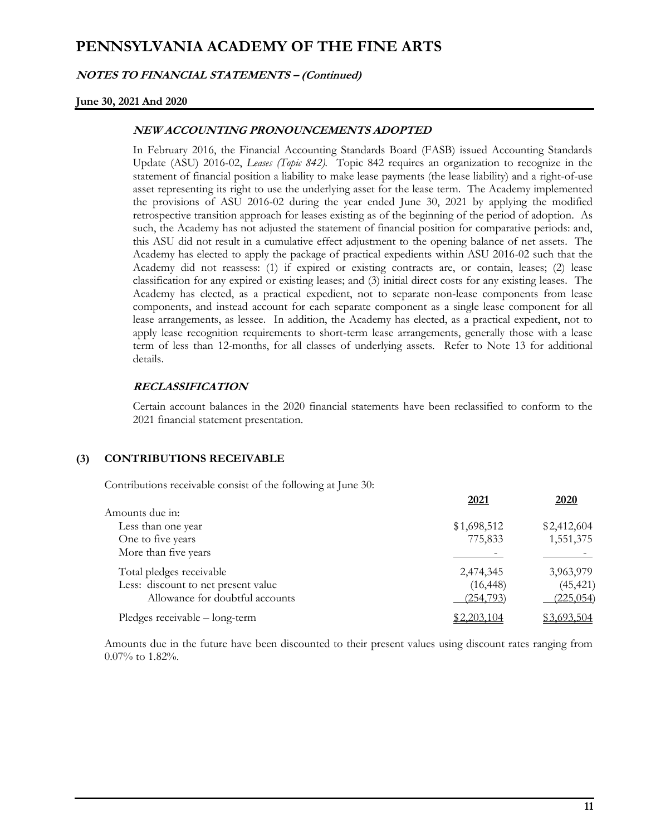### **NOTES TO FINANCIAL STATEMENTS – (Continued)**

#### **June 30, 2021 And 2020**

#### **NEW ACCOUNTING PRONOUNCEMENTS ADOPTED**

In February 2016, the Financial Accounting Standards Board (FASB) issued Accounting Standards Update (ASU) 2016-02, *Leases (Topic 842).* Topic 842 requires an organization to recognize in the statement of financial position a liability to make lease payments (the lease liability) and a right-of-use asset representing its right to use the underlying asset for the lease term. The Academy implemented the provisions of ASU 2016-02 during the year ended June 30, 2021 by applying the modified retrospective transition approach for leases existing as of the beginning of the period of adoption. As such, the Academy has not adjusted the statement of financial position for comparative periods: and, this ASU did not result in a cumulative effect adjustment to the opening balance of net assets. The Academy has elected to apply the package of practical expedients within ASU 2016-02 such that the Academy did not reassess: (1) if expired or existing contracts are, or contain, leases; (2) lease classification for any expired or existing leases; and (3) initial direct costs for any existing leases. The Academy has elected, as a practical expedient, not to separate non-lease components from lease components, and instead account for each separate component as a single lease component for all lease arrangements, as lessee. In addition, the Academy has elected, as a practical expedient, not to apply lease recognition requirements to short-term lease arrangements, generally those with a lease term of less than 12-months, for all classes of underlying assets. Refer to Note 13 for additional details.

#### **RECLASSIFICATION**

Certain account balances in the 2020 financial statements have been reclassified to conform to the 2021 financial statement presentation.

#### **(3) CONTRIBUTIONS RECEIVABLE**

Contributions receivable consist of the following at June 30:

| 2021        | 2020        |
|-------------|-------------|
|             |             |
| \$1,698,512 | \$2,412,604 |
| 775,833     | 1,551,375   |
|             |             |
| 2,474,345   | 3,963,979   |
| (16, 448)   | (45, 421)   |
| (254, 793)  | (225, 054)  |
| \$2,203,104 | \$3.693.504 |
|             |             |

Amounts due in the future have been discounted to their present values using discount rates ranging from 0.07% to 1.82%.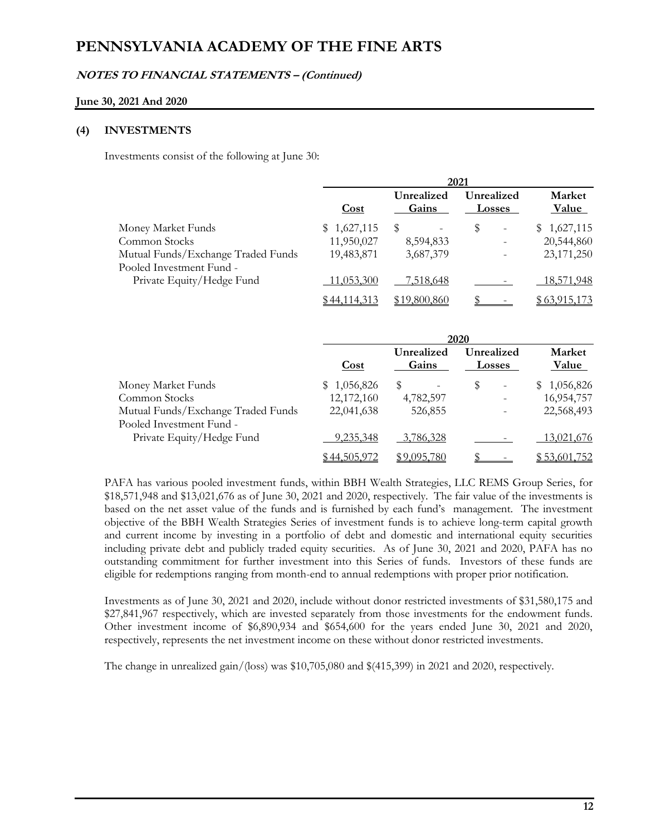### **NOTES TO FINANCIAL STATEMENTS – (Continued)**

### **June 30, 2021 And 2020**

### **(4) INVESTMENTS**

Investments consist of the following at June 30:

|                                    | 2021         |                     |                               |                               |
|------------------------------------|--------------|---------------------|-------------------------------|-------------------------------|
|                                    | <b>Cost</b>  | Unrealized<br>Gains | Unrealized<br><b>Losses</b>   | <b>Market</b><br><b>Value</b> |
| Money Market Funds                 | \$1,627,115  | S                   | S<br>$\overline{\phantom{0}}$ | 1,627,115<br>S.               |
| Common Stocks                      | 11,950,027   | 8,594,833           |                               | 20,544,860                    |
| Mutual Funds/Exchange Traded Funds | 19,483,871   | 3,687,379           |                               | 23,171,250                    |
| Pooled Investment Fund -           |              |                     |                               |                               |
| Private Equity/Hedge Fund          | 11,053,300   | 7,518,648           |                               | <u>18,571,948</u>             |
|                                    | \$44,114,313 | \$19,800,860        |                               | \$63,915,173                  |

|                                    |              | 2020                |                             |                 |  |
|------------------------------------|--------------|---------------------|-----------------------------|-----------------|--|
|                                    | <b>Cost</b>  | Unrealized<br>Gains | Unrealized<br><b>Losses</b> | Market<br>Value |  |
| Money Market Funds                 | \$1,056,826  | \$                  | S                           | 1,056,826<br>S. |  |
| Common Stocks                      | 12,172,160   | 4,782,597           |                             | 16,954,757      |  |
| Mutual Funds/Exchange Traded Funds | 22,041,638   | 526,855             |                             | 22,568,493      |  |
| Pooled Investment Fund -           |              |                     |                             |                 |  |
| Private Equity/Hedge Fund          | 9,235,348    | 3,786,328           |                             | 13,021,676      |  |
|                                    | \$44,505,972 | \$9,095,780         |                             | \$53,601,752    |  |

PAFA has various pooled investment funds, within BBH Wealth Strategies, LLC REMS Group Series, for \$18,571,948 and \$13,021,676 as of June 30, 2021 and 2020, respectively. The fair value of the investments is based on the net asset value of the funds and is furnished by each fund's management. The investment objective of the BBH Wealth Strategies Series of investment funds is to achieve long-term capital growth and current income by investing in a portfolio of debt and domestic and international equity securities including private debt and publicly traded equity securities. As of June 30, 2021 and 2020, PAFA has no outstanding commitment for further investment into this Series of funds. Investors of these funds are eligible for redemptions ranging from month-end to annual redemptions with proper prior notification.

Investments as of June 30, 2021 and 2020, include without donor restricted investments of \$31,580,175 and \$27,841,967 respectively, which are invested separately from those investments for the endowment funds. Other investment income of \$6,890,934 and \$654,600 for the years ended June 30, 2021 and 2020, respectively, represents the net investment income on these without donor restricted investments.

The change in unrealized gain/(loss) was \$10,705,080 and \$(415,399) in 2021 and 2020, respectively.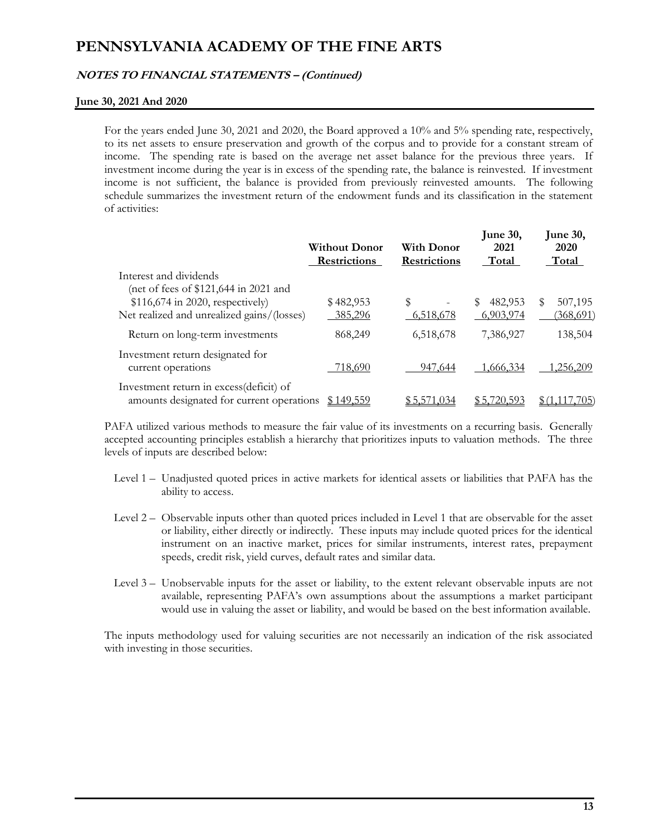### **NOTES TO FINANCIAL STATEMENTS – (Continued)**

#### **June 30, 2021 And 2020**

For the years ended June 30, 2021 and 2020, the Board approved a 10% and 5% spending rate, respectively, to its net assets to ensure preservation and growth of the corpus and to provide for a constant stream of income. The spending rate is based on the average net asset balance for the previous three years. If investment income during the year is in excess of the spending rate, the balance is reinvested. If investment income is not sufficient, the balance is provided from previously reinvested amounts. The following schedule summarizes the investment return of the endowment funds and its classification in the statement of activities:

|                                            | <b>Without Donor</b><br><b>Restrictions</b> | With Donor<br><b>Restrictions</b> | June 30,<br>2021<br><b>Total</b> | June 30,<br>2020<br>Total |
|--------------------------------------------|---------------------------------------------|-----------------------------------|----------------------------------|---------------------------|
| Interest and dividends                     |                                             |                                   |                                  |                           |
| (net of fees of $$121,644$ in 2021 and     |                                             |                                   |                                  |                           |
| \$116,674 in 2020, respectively)           | \$482,953                                   | \$                                | 482,953<br>\$                    | 507,195<br>S              |
| Net realized and unrealized gains/(losses) | 385,296                                     | 6,518,678                         | 6,903,974                        | (368, 691)                |
| Return on long-term investments            | 868,249                                     | 6,518,678                         | 7,386,927                        | 138,504                   |
| Investment return designated for           |                                             |                                   |                                  |                           |
| current operations                         | 718,690                                     | 947,644                           | 1,666,334                        | 1,256,209                 |
| Investment return in excess(deficit) of    |                                             |                                   |                                  |                           |
| amounts designated for current operations  | \$149,559                                   | \$5.571.034                       | \$5,720,593                      | 705                       |

PAFA utilized various methods to measure the fair value of its investments on a recurring basis. Generally accepted accounting principles establish a hierarchy that prioritizes inputs to valuation methods. The three levels of inputs are described below:

- Level 1 Unadjusted quoted prices in active markets for identical assets or liabilities that PAFA has the ability to access.
- Level 2 Observable inputs other than quoted prices included in Level 1 that are observable for the asset or liability, either directly or indirectly. These inputs may include quoted prices for the identical instrument on an inactive market, prices for similar instruments, interest rates, prepayment speeds, credit risk, yield curves, default rates and similar data.
- Level 3 Unobservable inputs for the asset or liability, to the extent relevant observable inputs are not available, representing PAFA's own assumptions about the assumptions a market participant would use in valuing the asset or liability, and would be based on the best information available.

The inputs methodology used for valuing securities are not necessarily an indication of the risk associated with investing in those securities.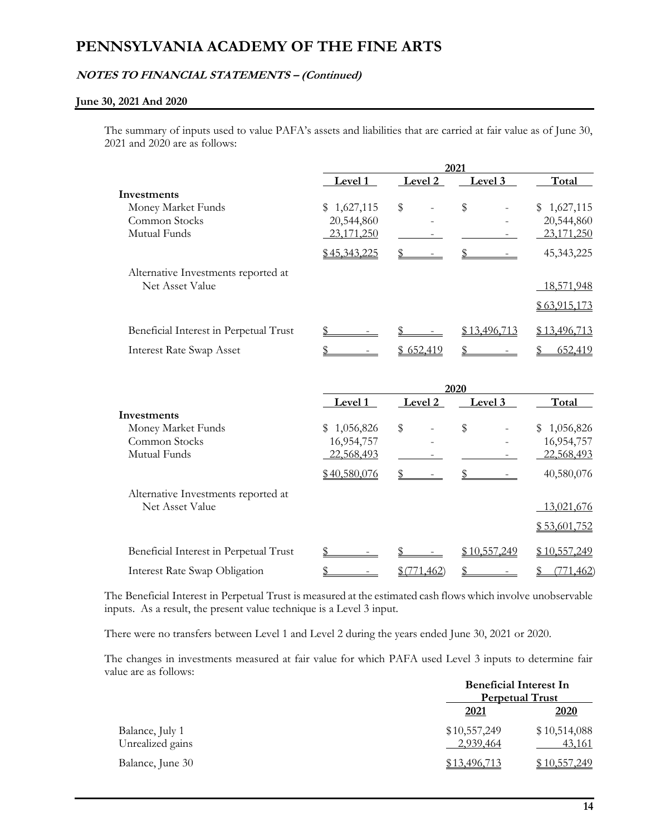### **NOTES TO FINANCIAL STATEMENTS – (Continued)**

#### **June 30, 2021 And 2020**

The summary of inputs used to value PAFA's assets and liabilities that are carried at fair value as of June 30, 2021 and 2020 are as follows:

|                                        | 2021         |           |              |              |  |
|----------------------------------------|--------------|-----------|--------------|--------------|--|
|                                        | Level 1      | Level 2   | Level 3      | Total        |  |
| Investments                            |              |           |              |              |  |
| Money Market Funds                     | \$1,627,115  | \$        | \$           | \$1,627,115  |  |
| Common Stocks                          | 20,544,860   |           |              | 20,544,860   |  |
| Mutual Funds                           | 23,171,250   |           |              | 23,171,250   |  |
|                                        | \$45,343,225 |           |              | 45, 343, 225 |  |
| Alternative Investments reported at    |              |           |              |              |  |
| Net Asset Value                        |              |           |              | 18,571,948   |  |
|                                        |              |           |              | \$63,915,173 |  |
| Beneficial Interest in Perpetual Trust |              |           | \$13,496,713 | \$13,496,713 |  |
| <b>Interest Rate Swap Asset</b>        |              | \$652,419 |              | 652,419      |  |

|                                        |                    |         | 2020         |              |
|----------------------------------------|--------------------|---------|--------------|--------------|
|                                        | Level <sub>1</sub> | Level 2 | Level 3      | Total        |
| Investments                            |                    |         |              |              |
| Money Market Funds                     | 1,056,826<br>S.    | \$      | \$           | \$1,056,826  |
| Common Stocks                          | 16,954,757         |         |              | 16,954,757   |
| Mutual Funds                           | 22,568,493         |         |              | 22,568,493   |
|                                        | \$40,580,076       | \$      |              | 40,580,076   |
| Alternative Investments reported at    |                    |         |              |              |
| Net Asset Value                        |                    |         |              | 13,021,676   |
|                                        |                    |         |              | \$53,601,752 |
| Beneficial Interest in Perpetual Trust |                    |         | \$10,557,249 | \$10,557,249 |
| Interest Rate Swap Obligation          |                    | .462    |              | (1, 462)     |

The Beneficial Interest in Perpetual Trust is measured at the estimated cash flows which involve unobservable inputs. As a result, the present value technique is a Level 3 input.

There were no transfers between Level 1 and Level 2 during the years ended June 30, 2021 or 2020.

The changes in investments measured at fair value for which PAFA used Level 3 inputs to determine fair value are as follows:

|                                     |                           | <b>Beneficial Interest In</b><br><b>Perpetual Trust</b> |  |
|-------------------------------------|---------------------------|---------------------------------------------------------|--|
|                                     | 2021                      | 2020                                                    |  |
| Balance, July 1<br>Unrealized gains | \$10,557,249<br>2,939,464 | \$10,514,088<br>43,161                                  |  |
| Balance, June 30                    | \$13.496.713              | \$10,557,249                                            |  |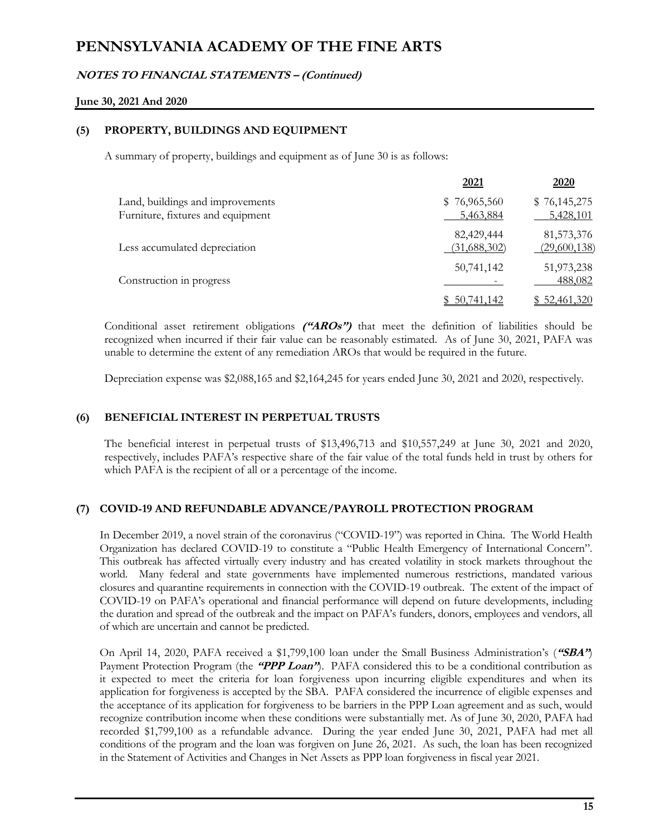### **NOTES TO FINANCIAL STATEMENTS – (Continued)**

**June 30, 2021 And 2020**

### **(5) PROPERTY, BUILDINGS AND EQUIPMENT**

A summary of property, buildings and equipment as of June 30 is as follows:

|                                                                       | 2021                       | 2020                       |
|-----------------------------------------------------------------------|----------------------------|----------------------------|
| Land, buildings and improvements<br>Furniture, fixtures and equipment | \$76,965,560<br>5,463,884  | \$76,145,275<br>5,428,101  |
| Less accumulated depreciation                                         | 82,429,444<br>(31,688,302) | 81,573,376<br>(29,600,138) |
| Construction in progress                                              | 50,741,142                 | 51,973,238<br>488,082      |
|                                                                       | 50,741,142                 | 52,461,320                 |

Conditional asset retirement obligations **("AROs")** that meet the definition of liabilities should be recognized when incurred if their fair value can be reasonably estimated. As of June 30, 2021, PAFA was unable to determine the extent of any remediation AROs that would be required in the future.

Depreciation expense was \$2,088,165 and \$2,164,245 for years ended June 30, 2021 and 2020, respectively.

### **(6) BENEFICIAL INTEREST IN PERPETUAL TRUSTS**

The beneficial interest in perpetual trusts of \$13,496,713 and \$10,557,249 at June 30, 2021 and 2020, respectively, includes PAFA's respective share of the fair value of the total funds held in trust by others for which PAFA is the recipient of all or a percentage of the income.

### **(7) COVID-19 AND REFUNDABLE ADVANCE/PAYROLL PROTECTION PROGRAM**

In December 2019, a novel strain of the coronavirus ("COVID-19") was reported in China. The World Health Organization has declared COVID-19 to constitute a "Public Health Emergency of International Concern". This outbreak has affected virtually every industry and has created volatility in stock markets throughout the world. Many federal and state governments have implemented numerous restrictions, mandated various closures and quarantine requirements in connection with the COVID-19 outbreak. The extent of the impact of COVID-19 on PAFA's operational and financial performance will depend on future developments, including the duration and spread of the outbreak and the impact on PAFA's funders, donors, employees and vendors, all of which are uncertain and cannot be predicted.

On April 14, 2020, PAFA received a \$1,799,100 loan under the Small Business Administration's (**"SBA"**) Payment Protection Program (the **"PPP Loan"**). PAFA considered this to be a conditional contribution as it expected to meet the criteria for loan forgiveness upon incurring eligible expenditures and when its application for forgiveness is accepted by the SBA. PAFA considered the incurrence of eligible expenses and the acceptance of its application for forgiveness to be barriers in the PPP Loan agreement and as such, would recognize contribution income when these conditions were substantially met. As of June 30, 2020, PAFA had recorded \$1,799,100 as a refundable advance. During the year ended June 30, 2021, PAFA had met all conditions of the program and the loan was forgiven on June 26, 2021. As such, the loan has been recognized in the Statement of Activities and Changes in Net Assets as PPP loan forgiveness in fiscal year 2021.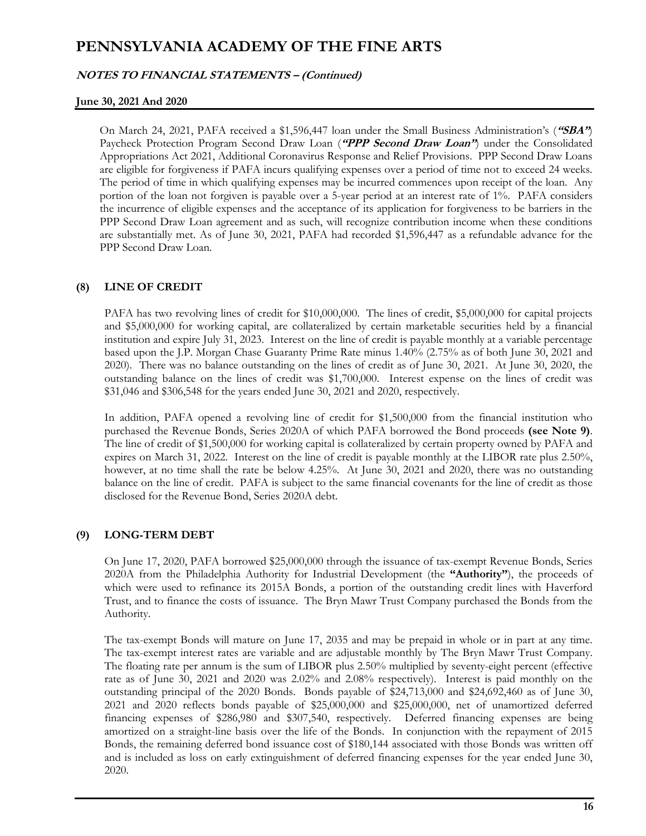### **NOTES TO FINANCIAL STATEMENTS – (Continued)**

#### **June 30, 2021 And 2020**

On March 24, 2021, PAFA received a \$1,596,447 loan under the Small Business Administration's (**"SBA"**) Paycheck Protection Program Second Draw Loan (**"PPP Second Draw Loan"**) under the Consolidated Appropriations Act 2021, Additional Coronavirus Response and Relief Provisions. PPP Second Draw Loans are eligible for forgiveness if PAFA incurs qualifying expenses over a period of time not to exceed 24 weeks. The period of time in which qualifying expenses may be incurred commences upon receipt of the loan. Any portion of the loan not forgiven is payable over a 5-year period at an interest rate of 1%. PAFA considers the incurrence of eligible expenses and the acceptance of its application for forgiveness to be barriers in the PPP Second Draw Loan agreement and as such, will recognize contribution income when these conditions are substantially met. As of June 30, 2021, PAFA had recorded \$1,596,447 as a refundable advance for the PPP Second Draw Loan.

### **(8) LINE OF CREDIT**

PAFA has two revolving lines of credit for \$10,000,000. The lines of credit, \$5,000,000 for capital projects and \$5,000,000 for working capital, are collateralized by certain marketable securities held by a financial institution and expire July 31, 2023. Interest on the line of credit is payable monthly at a variable percentage based upon the J.P. Morgan Chase Guaranty Prime Rate minus 1.40% (2.75% as of both June 30, 2021 and 2020). There was no balance outstanding on the lines of credit as of June 30, 2021. At June 30, 2020, the outstanding balance on the lines of credit was \$1,700,000. Interest expense on the lines of credit was \$31,046 and \$306,548 for the years ended June 30, 2021 and 2020, respectively.

In addition, PAFA opened a revolving line of credit for \$1,500,000 from the financial institution who purchased the Revenue Bonds, Series 2020A of which PAFA borrowed the Bond proceeds **(see Note 9)**. The line of credit of \$1,500,000 for working capital is collateralized by certain property owned by PAFA and expires on March 31, 2022. Interest on the line of credit is payable monthly at the LIBOR rate plus 2.50%, however, at no time shall the rate be below 4.25%. At June 30, 2021 and 2020, there was no outstanding balance on the line of credit. PAFA is subject to the same financial covenants for the line of credit as those disclosed for the Revenue Bond, Series 2020A debt.

### **(9) LONG-TERM DEBT**

On June 17, 2020, PAFA borrowed \$25,000,000 through the issuance of tax-exempt Revenue Bonds, Series 2020A from the Philadelphia Authority for Industrial Development (the **"Authority"**), the proceeds of which were used to refinance its 2015A Bonds, a portion of the outstanding credit lines with Haverford Trust, and to finance the costs of issuance. The Bryn Mawr Trust Company purchased the Bonds from the Authority.

The tax-exempt Bonds will mature on June 17, 2035 and may be prepaid in whole or in part at any time. The tax-exempt interest rates are variable and are adjustable monthly by The Bryn Mawr Trust Company. The floating rate per annum is the sum of LIBOR plus 2.50% multiplied by seventy-eight percent (effective rate as of June 30, 2021 and 2020 was 2.02% and 2.08% respectively). Interest is paid monthly on the outstanding principal of the 2020 Bonds. Bonds payable of \$24,713,000 and \$24,692,460 as of June 30, 2021 and 2020 reflects bonds payable of \$25,000,000 and \$25,000,000, net of unamortized deferred financing expenses of \$286,980 and \$307,540, respectively. Deferred financing expenses are being amortized on a straight-line basis over the life of the Bonds. In conjunction with the repayment of 2015 Bonds, the remaining deferred bond issuance cost of \$180,144 associated with those Bonds was written off and is included as loss on early extinguishment of deferred financing expenses for the year ended June 30, 2020.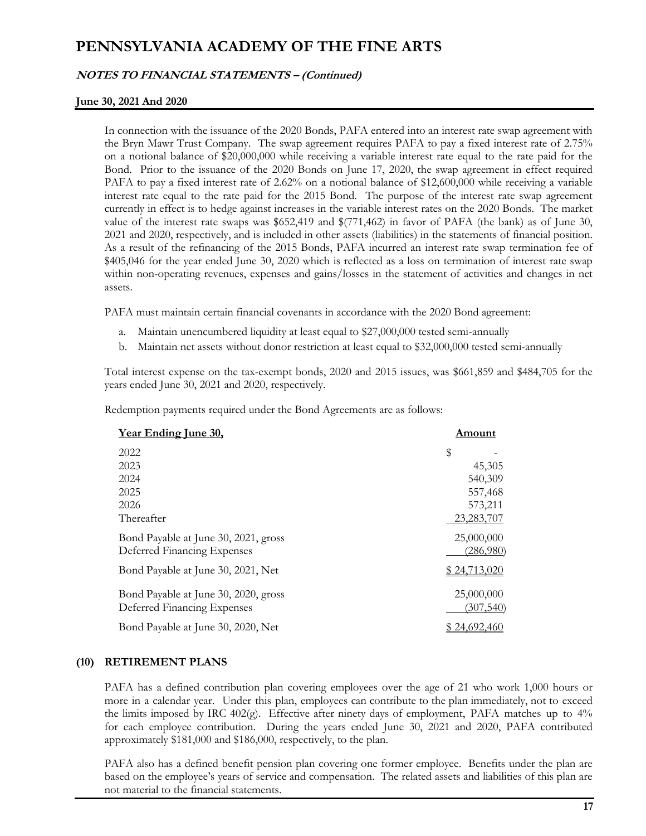### **NOTES TO FINANCIAL STATEMENTS – (Continued)**

#### **June 30, 2021 And 2020**

In connection with the issuance of the 2020 Bonds, PAFA entered into an interest rate swap agreement with the Bryn Mawr Trust Company. The swap agreement requires PAFA to pay a fixed interest rate of 2.75% on a notional balance of \$20,000,000 while receiving a variable interest rate equal to the rate paid for the Bond. Prior to the issuance of the 2020 Bonds on June 17, 2020, the swap agreement in effect required PAFA to pay a fixed interest rate of 2.62% on a notional balance of \$12,600,000 while receiving a variable interest rate equal to the rate paid for the 2015 Bond. The purpose of the interest rate swap agreement currently in effect is to hedge against increases in the variable interest rates on the 2020 Bonds. The market value of the interest rate swaps was \$652,419 and \$(771,462) in favor of PAFA (the bank) as of June 30, 2021 and 2020, respectively, and is included in other assets (liabilities) in the statements of financial position. As a result of the refinancing of the 2015 Bonds, PAFA incurred an interest rate swap termination fee of \$405,046 for the year ended June 30, 2020 which is reflected as a loss on termination of interest rate swap within non-operating revenues, expenses and gains/losses in the statement of activities and changes in net assets.

PAFA must maintain certain financial covenants in accordance with the 2020 Bond agreement:

- a. Maintain unencumbered liquidity at least equal to \$27,000,000 tested semi-annually
- b. Maintain net assets without donor restriction at least equal to \$32,000,000 tested semi-annually

Total interest expense on the tax-exempt bonds, 2020 and 2015 issues, was \$661,859 and \$484,705 for the years ended June 30, 2021 and 2020, respectively.

Redemption payments required under the Bond Agreements are as follows:

| Year Ending June 30,                                                | Amount                   |
|---------------------------------------------------------------------|--------------------------|
| 2022                                                                | \$                       |
| 2023                                                                | 45,305                   |
| 2024                                                                | 540,309                  |
| 2025                                                                | 557,468                  |
| 2026                                                                | 573,211                  |
| Thereafter                                                          | 23,283,707               |
| Bond Payable at June 30, 2021, gross<br>Deferred Financing Expenses | 25,000,000<br>(286,980)  |
| Bond Payable at June 30, 2021, Net                                  | \$24,713,020             |
| Bond Payable at June 30, 2020, gross<br>Deferred Financing Expenses | 25,000,000<br>(307, 540) |
| Bond Payable at June 30, 2020, Net                                  | \$24,692,460             |

### **(10) RETIREMENT PLANS**

PAFA has a defined contribution plan covering employees over the age of 21 who work 1,000 hours or more in a calendar year. Under this plan, employees can contribute to the plan immediately, not to exceed the limits imposed by IRC 402(g). Effective after ninety days of employment, PAFA matches up to  $4\%$ for each employee contribution. During the years ended June 30, 2021 and 2020, PAFA contributed approximately \$181,000 and \$186,000, respectively, to the plan.

PAFA also has a defined benefit pension plan covering one former employee. Benefits under the plan are based on the employee's years of service and compensation. The related assets and liabilities of this plan are not material to the financial statements.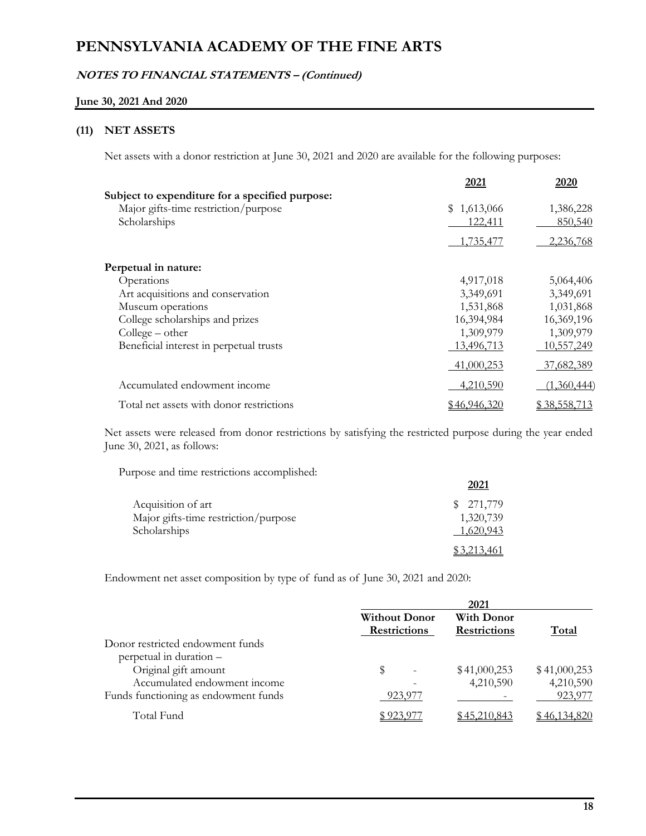### **NOTES TO FINANCIAL STATEMENTS – (Continued)**

### **June 30, 2021 And 2020**

### **(11) NET ASSETS**

Net assets with a donor restriction at June 30, 2021 and 2020 are available for the following purposes:

|                                                 | 2021                      | 2020         |
|-------------------------------------------------|---------------------------|--------------|
| Subject to expenditure for a specified purpose: |                           |              |
| Major gifts-time restriction/purpose            | $\mathbb{S}$<br>1,613,066 | 1,386,228    |
| Scholarships                                    | 122,411                   | 850,540      |
|                                                 | 1,735,477                 | 2,236,768    |
| Perpetual in nature:                            |                           |              |
| Operations                                      | 4,917,018                 | 5,064,406    |
| Art acquisitions and conservation               | 3,349,691                 | 3,349,691    |
| Museum operations                               | 1,531,868                 | 1,031,868    |
| College scholarships and prizes                 | 16,394,984                | 16,369,196   |
| $Collect - other$                               | 1,309,979                 | 1,309,979    |
| Beneficial interest in perpetual trusts         | 13,496,713                | 10,557,249   |
|                                                 | 41,000,253                | 37,682,389   |
| Accumulated endowment income                    | 4,210,590                 | (1,360,444)  |
| Total net assets with donor restrictions        | \$46,946,320              | \$38,558,713 |

Net assets were released from donor restrictions by satisfying the restricted purpose during the year ended June 30, 2021, as follows:

Purpose and time restrictions accomplished:

|                                      | 2021        |
|--------------------------------------|-------------|
| Acquisition of art                   | \$271,779   |
| Major gifts-time restriction/purpose | 1,320,739   |
| Scholarships                         | 1,620,943   |
|                                      | \$3,213,461 |

Endowment net asset composition by type of fund as of June 30, 2021 and 2020:

|                                      | 2021                                        |                                          |              |
|--------------------------------------|---------------------------------------------|------------------------------------------|--------------|
|                                      | <b>Without Donor</b><br><b>Restrictions</b> | <b>With Donor</b><br><b>Restrictions</b> | Total        |
| Donor restricted endowment funds     |                                             |                                          |              |
| perpetual in duration -              |                                             |                                          |              |
| Original gift amount                 | S                                           | \$41,000,253                             | \$41,000,253 |
| Accumulated endowment income         |                                             | 4,210,590                                | 4,210,590    |
| Funds functioning as endowment funds | 923,977                                     |                                          | 923,977      |
| Total Fund                           | \$923.9                                     | \$45.210.843                             | \$46,134,820 |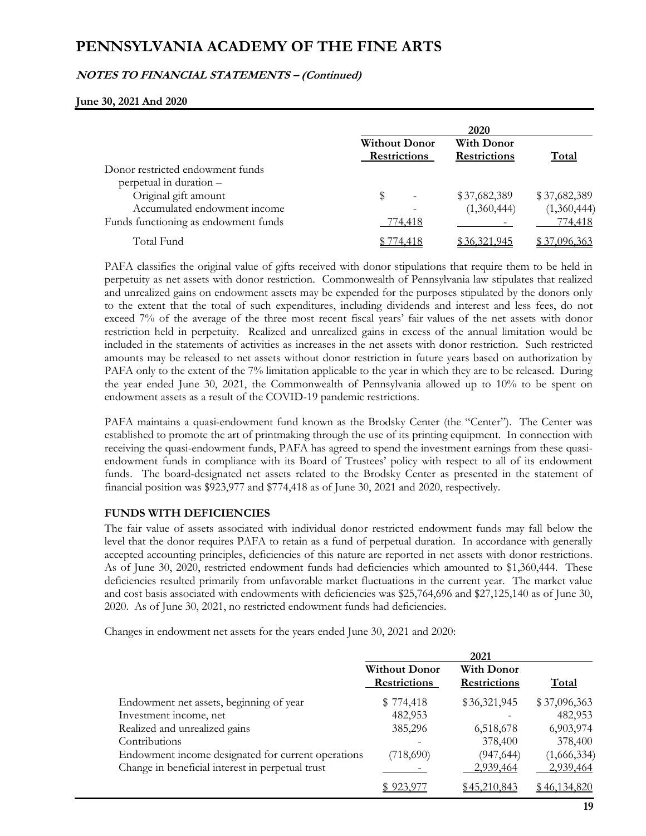# **NOTES TO FINANCIAL STATEMENTS – (Continued)**

### **June 30, 2021 And 2020**

|                                                             | 2020                                 |                                   |                             |
|-------------------------------------------------------------|--------------------------------------|-----------------------------------|-----------------------------|
|                                                             | <b>Without Donor</b><br>Restrictions | <b>With Donor</b><br>Restrictions | Total                       |
| Donor restricted endowment funds<br>perpetual in duration - |                                      |                                   |                             |
| Original gift amount<br>Accumulated endowment income        | \$                                   | \$37,682,389<br>(1,360,444)       | \$37,682,389<br>(1,360,444) |
| Funds functioning as endowment funds                        | 774,418                              |                                   | 774,418                     |
| Total Fund                                                  | 774.418                              | \$36,321,945                      | \$37,096,363                |

PAFA classifies the original value of gifts received with donor stipulations that require them to be held in perpetuity as net assets with donor restriction. Commonwealth of Pennsylvania law stipulates that realized and unrealized gains on endowment assets may be expended for the purposes stipulated by the donors only to the extent that the total of such expenditures, including dividends and interest and less fees, do not exceed 7% of the average of the three most recent fiscal years' fair values of the net assets with donor restriction held in perpetuity. Realized and unrealized gains in excess of the annual limitation would be included in the statements of activities as increases in the net assets with donor restriction. Such restricted amounts may be released to net assets without donor restriction in future years based on authorization by PAFA only to the extent of the 7% limitation applicable to the year in which they are to be released. During the year ended June 30, 2021, the Commonwealth of Pennsylvania allowed up to 10% to be spent on endowment assets as a result of the COVID-19 pandemic restrictions.

PAFA maintains a quasi-endowment fund known as the Brodsky Center (the "Center"). The Center was established to promote the art of printmaking through the use of its printing equipment. In connection with receiving the quasi-endowment funds, PAFA has agreed to spend the investment earnings from these quasiendowment funds in compliance with its Board of Trustees' policy with respect to all of its endowment funds. The board-designated net assets related to the Brodsky Center as presented in the statement of financial position was \$923,977 and \$774,418 as of June 30, 2021 and 2020, respectively.

### **FUNDS WITH DEFICIENCIES**

The fair value of assets associated with individual donor restricted endowment funds may fall below the level that the donor requires PAFA to retain as a fund of perpetual duration. In accordance with generally accepted accounting principles, deficiencies of this nature are reported in net assets with donor restrictions. As of June 30, 2020, restricted endowment funds had deficiencies which amounted to \$1,360,444. These deficiencies resulted primarily from unfavorable market fluctuations in the current year. The market value and cost basis associated with endowments with deficiencies was \$25,764,696 and \$27,125,140 as of June 30, 2020. As of June 30, 2021, no restricted endowment funds had deficiencies.

Changes in endowment net assets for the years ended June 30, 2021 and 2020:

|                                                    | 2021                                        |                                          |                     |
|----------------------------------------------------|---------------------------------------------|------------------------------------------|---------------------|
|                                                    | <b>Without Donor</b><br><b>Restrictions</b> | <b>With Donor</b><br><b>Restrictions</b> | Total               |
| Endowment net assets, beginning of year            | \$774,418                                   | \$36,321,945                             | \$37,096,363        |
| Investment income, net                             | 482,953                                     |                                          | 482,953             |
| Realized and unrealized gains                      | 385,296                                     | 6,518,678                                | 6,903,974           |
| Contributions                                      |                                             | 378,400                                  | 378,400             |
| Endowment income designated for current operations | (718,690)                                   | (947, 644)                               | (1,666,334)         |
| Change in beneficial interest in perpetual trust   |                                             | 2,939,464                                | 2,939,464           |
|                                                    |                                             | \$45,210,843                             | <u>\$46,134,820</u> |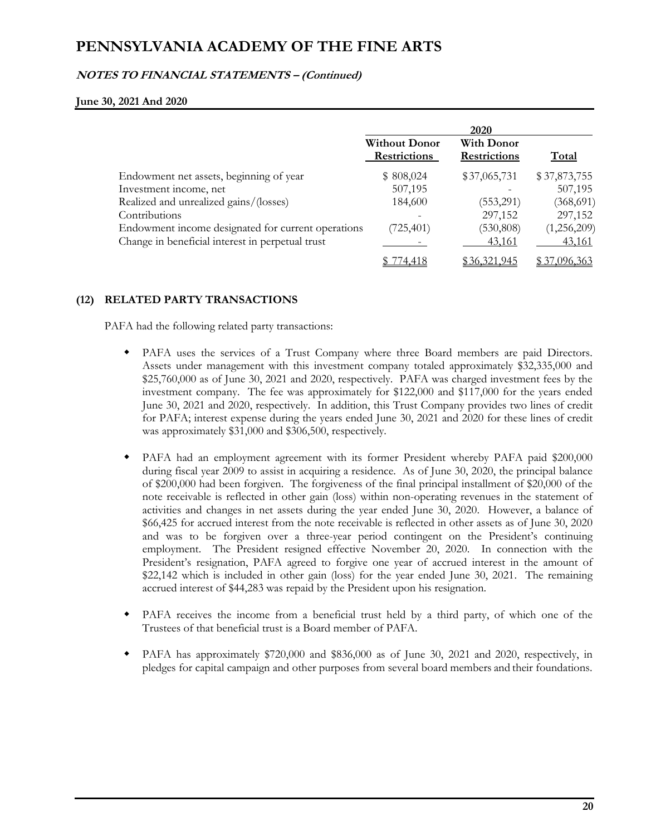### **NOTES TO FINANCIAL STATEMENTS – (Continued)**

### **June 30, 2021 And 2020**

|                                                    | 2020                                        |                                          |              |
|----------------------------------------------------|---------------------------------------------|------------------------------------------|--------------|
|                                                    | <b>Without Donor</b><br><b>Restrictions</b> | <b>With Donor</b><br><b>Restrictions</b> | <b>Total</b> |
| Endowment net assets, beginning of year            | \$808,024                                   | \$37,065,731                             | \$37,873,755 |
| Investment income, net                             | 507,195                                     |                                          | 507,195      |
| Realized and unrealized gains/(losses)             | 184,600                                     | (553,291)                                | (368, 691)   |
| Contributions                                      |                                             | 297,152                                  | 297,152      |
| Endowment income designated for current operations | (725, 401)                                  | (530, 808)                               | (1,256,209)  |
| Change in beneficial interest in perpetual trust   |                                             | 43,161                                   | 43,161       |
|                                                    | 74.418                                      | \$36,321,945                             | \$37,096,363 |

### **(12) RELATED PARTY TRANSACTIONS**

PAFA had the following related party transactions:

- PAFA uses the services of a Trust Company where three Board members are paid Directors. Assets under management with this investment company totaled approximately \$32,335,000 and \$25,760,000 as of June 30, 2021 and 2020, respectively. PAFA was charged investment fees by the investment company. The fee was approximately for \$122,000 and \$117,000 for the years ended June 30, 2021 and 2020, respectively. In addition, this Trust Company provides two lines of credit for PAFA; interest expense during the years ended June 30, 2021 and 2020 for these lines of credit was approximately \$31,000 and \$306,500, respectively.
- PAFA had an employment agreement with its former President whereby PAFA paid \$200,000 during fiscal year 2009 to assist in acquiring a residence. As of June 30, 2020, the principal balance of \$200,000 had been forgiven. The forgiveness of the final principal installment of \$20,000 of the note receivable is reflected in other gain (loss) within non-operating revenues in the statement of activities and changes in net assets during the year ended June 30, 2020. However, a balance of \$66,425 for accrued interest from the note receivable is reflected in other assets as of June 30, 2020 and was to be forgiven over a three-year period contingent on the President's continuing employment. The President resigned effective November 20, 2020. In connection with the President's resignation, PAFA agreed to forgive one year of accrued interest in the amount of \$22,142 which is included in other gain (loss) for the year ended June 30, 2021. The remaining accrued interest of \$44,283 was repaid by the President upon his resignation.
- PAFA receives the income from a beneficial trust held by a third party, of which one of the Trustees of that beneficial trust is a Board member of PAFA.
- PAFA has approximately \$720,000 and \$836,000 as of June 30, 2021 and 2020, respectively, in pledges for capital campaign and other purposes from several board members and their foundations.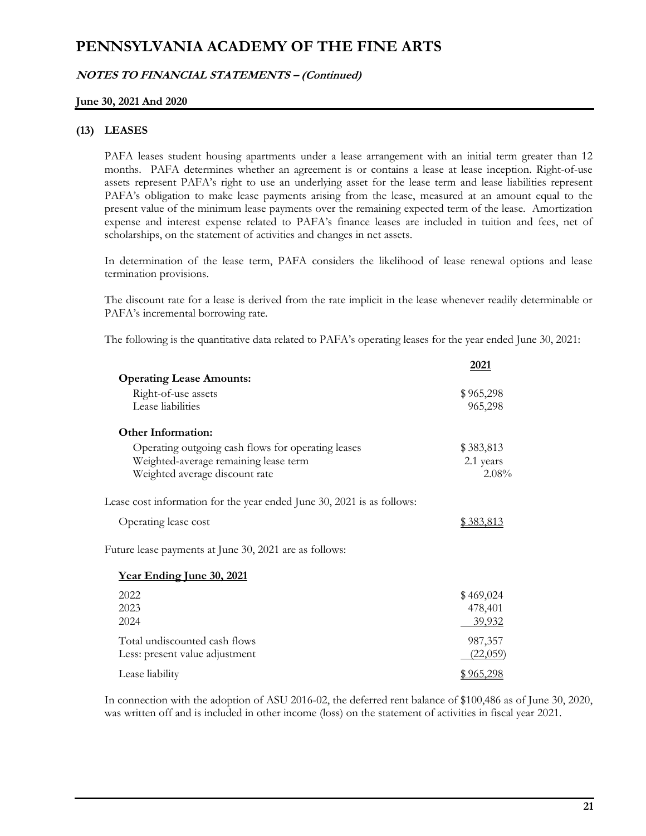### **NOTES TO FINANCIAL STATEMENTS – (Continued)**

#### **June 30, 2021 And 2020**

### **(13) LEASES**

PAFA leases student housing apartments under a lease arrangement with an initial term greater than 12 months. PAFA determines whether an agreement is or contains a lease at lease inception. Right-of-use assets represent PAFA's right to use an underlying asset for the lease term and lease liabilities represent PAFA's obligation to make lease payments arising from the lease, measured at an amount equal to the present value of the minimum lease payments over the remaining expected term of the lease. Amortization expense and interest expense related to PAFA's finance leases are included in tuition and fees, net of scholarships, on the statement of activities and changes in net assets.

In determination of the lease term, PAFA considers the likelihood of lease renewal options and lease termination provisions.

The discount rate for a lease is derived from the rate implicit in the lease whenever readily determinable or PAFA's incremental borrowing rate.

**2021**

The following is the quantitative data related to PAFA's operating leases for the year ended June 30, 2021:

|                                                                        | <u> 2021</u> |
|------------------------------------------------------------------------|--------------|
| <b>Operating Lease Amounts:</b>                                        |              |
| Right-of-use assets                                                    | \$965,298    |
| Lease liabilities                                                      | 965,298      |
| <b>Other Information:</b>                                              |              |
| Operating outgoing cash flows for operating leases                     | \$383,813    |
| Weighted-average remaining lease term                                  | 2.1 years    |
| Weighted average discount rate                                         | $2.08\%$     |
| Lease cost information for the year ended June 30, 2021 is as follows: |              |
| Operating lease cost                                                   | \$383,813    |
| Future lease payments at June 30, 2021 are as follows:                 |              |
| <b>Year Ending June 30, 2021</b>                                       |              |
| 2022                                                                   | \$469,024    |
| 2023                                                                   | 478,401      |
| 2024                                                                   | 39,932       |
| Total undiscounted cash flows                                          | 987,357      |
| Less: present value adjustment                                         | (22,059)     |
| Lease liability                                                        | \$965,298    |

In connection with the adoption of ASU 2016-02, the deferred rent balance of \$100,486 as of June 30, 2020, was written off and is included in other income (loss) on the statement of activities in fiscal year 2021.